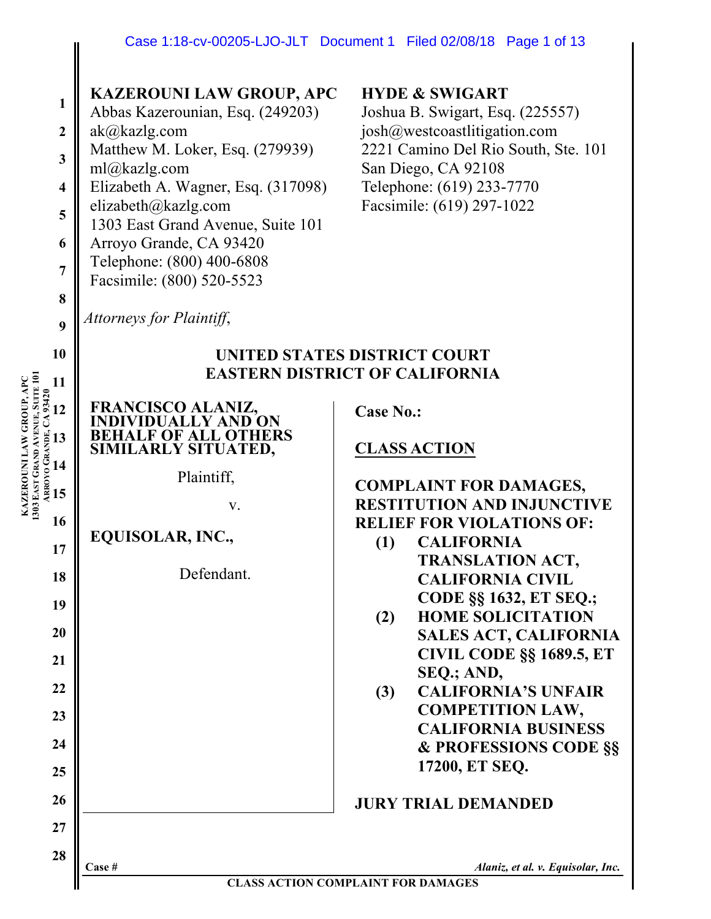## **KAZEROUNI LAW GROUP, APC**

**1 2** Abbas Kazerounian, Esq. (249203) ak@kazlg.com Matthew M. Loker, Esq. (279939)

- **3** ml@kazlg.com
- **4 5** Elizabeth A. Wagner, Esq. (317098) elizabeth@kazlg.com
- 1303 East Grand Avenue, Suite 101
- **6** Arroyo Grande, CA 93420
	- Telephone: (800) 400-6808 Facsimile: (800) 520-5523

## **HYDE & SWIGART**

Joshua B. Swigart, Esq. (225557) josh@westcoastlitigation.com 2221 Camino Del Rio South, Ste. 101 San Diego, CA 92108 Telephone: (619) 233-7770 Facsimile: (619) 297-1022

*Attorneys for Plaintiff*,

**7**

**8**

**9**

**10**

**11**

**12**

**13**

**KAZEROUNI LAW GROUP, APC**

**14**

**15**

**17**

**18**

**19**

**20**

**21**

**16 1303**

**ARROYO** 

**GRANDE, CA 93420**

**EAST** 

**GRAND** 

**AVENUE, SUITE 101**

# **UNITED STATES DISTRICT COURT EASTERN DISTRICT OF CALIFORNIA**

**FRANCISCO ALANIZ, INDIVIDUALLY AND ON BEHALF OF ALL OTHERS SIMILARLY SITUATED,** Plaintiff,

v.

# **EQUISOLAR, INC.,**

Defendant.

**Case No.:** 

# **CLASS ACTION**

# **COMPLAINT FOR DAMAGES, RESTITUTION AND INJUNCTIVE RELIEF FOR VIOLATIONS OF:**

- **(1) CALIFORNIA TRANSLATION ACT, CALIFORNIA CIVIL CODE §§ 1632, ET SEQ.;**
- **(2) HOME SOLICITATION SALES ACT, CALIFORNIA CIVIL CODE §§ 1689.5, ET SEQ.; AND,**
- **(3) CALIFORNIA'S UNFAIR COMPETITION LAW, CALIFORNIA BUSINESS & PROFESSIONS CODE §§ 17200, ET SEQ.**

# **JURY TRIAL DEMANDED**

**27**

**28**

**Case #** *Alaniz, et al. v. Equisolar, Inc.*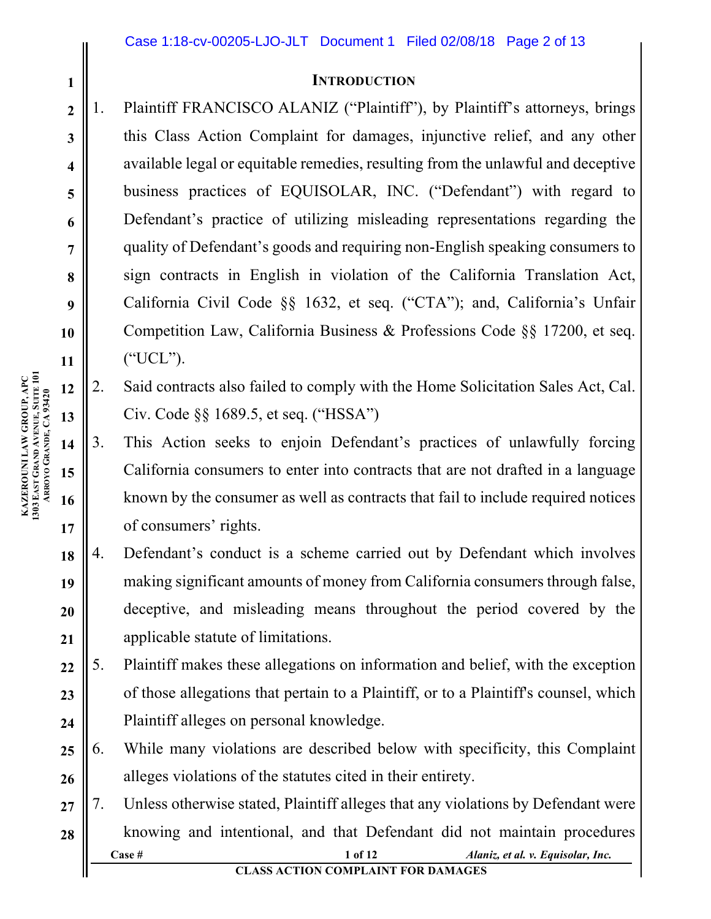## **INTRODUCTION**

1. Plaintiff FRANCISCO ALANIZ ("Plaintiff"), by Plaintiff's attorneys, brings this Class Action Complaint for damages, injunctive relief, and any other available legal or equitable remedies, resulting from the unlawful and deceptive business practices of EQUISOLAR, INC. ("Defendant") with regard to Defendant's practice of utilizing misleading representations regarding the quality of Defendant's goods and requiring non-English speaking consumers to sign contracts in English in violation of the California Translation Act, California Civil Code §§ 1632, et seq. ("CTA"); and, California's Unfair Competition Law, California Business & Professions Code §§ 17200, et seq. ("UCL").

- 2. Said contracts also failed to comply with the Home Solicitation Sales Act, Cal. Civ. Code §§ 1689.5, et seq. ("HSSA")
- 3. This Action seeks to enjoin Defendant's practices of unlawfully forcing California consumers to enter into contracts that are not drafted in a language known by the consumer as well as contracts that fail to include required notices of consumers' rights.
- **18 19 20 21** 4. Defendant's conduct is a scheme carried out by Defendant which involves making significant amounts of money from California consumers through false, deceptive, and misleading means throughout the period covered by the applicable statute of limitations.
- **22 23 24** 5. Plaintiff makes these allegations on information and belief, with the exception of those allegations that pertain to a Plaintiff, or to a Plaintiff's counsel, which Plaintiff alleges on personal knowledge.
- **25 26** 6. While many violations are described below with specificity, this Complaint alleges violations of the statutes cited in their entirety.
- **Case # 1 of 12** *Alaniz, et al. v. Equisolar, Inc.* **27 28** 7. Unless otherwise stated, Plaintiff alleges that any violations by Defendant were knowing and intentional, and that Defendant did not maintain procedures

**1**

**2**

**3**

**4**

**5**

**6**

**7**

**8**

**9**

**10**

**11**

**12**

**13**

**14**

**15**

**16**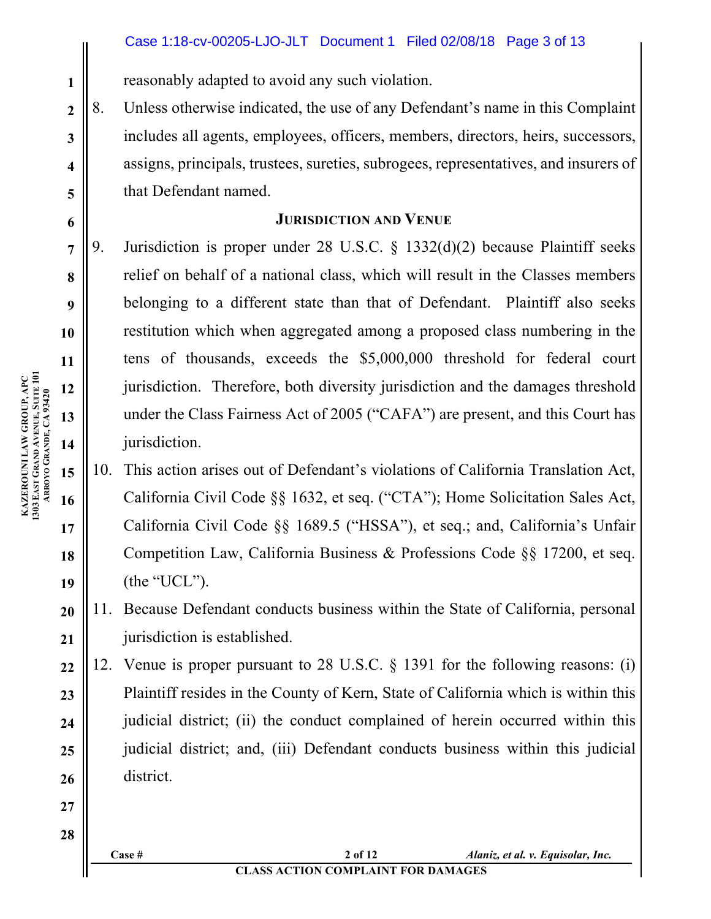reasonably adapted to avoid any such violation.

8. Unless otherwise indicated, the use of any Defendant's name in this Complaint includes all agents, employees, officers, members, directors, heirs, successors, assigns, principals, trustees, sureties, subrogees, representatives, and insurers of that Defendant named.

# **JURISDICTION AND VENUE**

9. Jurisdiction is proper under 28 U.S.C. § 1332(d)(2) because Plaintiff seeks relief on behalf of a national class, which will result in the Classes members belonging to a different state than that of Defendant. Plaintiff also seeks restitution which when aggregated among a proposed class numbering in the tens of thousands, exceeds the \$5,000,000 threshold for federal court jurisdiction. Therefore, both diversity jurisdiction and the damages threshold under the Class Fairness Act of 2005 ("CAFA") are present, and this Court has jurisdiction.

- 10. This action arises out of Defendant's violations of California Translation Act, California Civil Code §§ 1632, et seq. ("CTA"); Home Solicitation Sales Act, California Civil Code §§ 1689.5 ("HSSA"), et seq.; and, California's Unfair Competition Law, California Business & Professions Code §§ 17200, et seq. (the "UCL").
- **20 21** 11. Because Defendant conducts business within the State of California, personal jurisdiction is established.
- **22 23 24 25 26** 12. Venue is proper pursuant to 28 U.S.C. § 1391 for the following reasons: (i) Plaintiff resides in the County of Kern, State of California which is within this judicial district; (ii) the conduct complained of herein occurred within this judicial district; and, (iii) Defendant conducts business within this judicial district.

**KAZEROUNI LAW GROUP, APC 1303 EAST GRAND AVENUE, SUITE 101 ARROYO GRANDE, CA 93420** **1**

**2**

**3**

**4**

**5**

**6**

**7**

**8**

**9**

**10**

**11**

**12**

**13**

**14**

**15**

**16**

**17**

**18**

**19**

**27**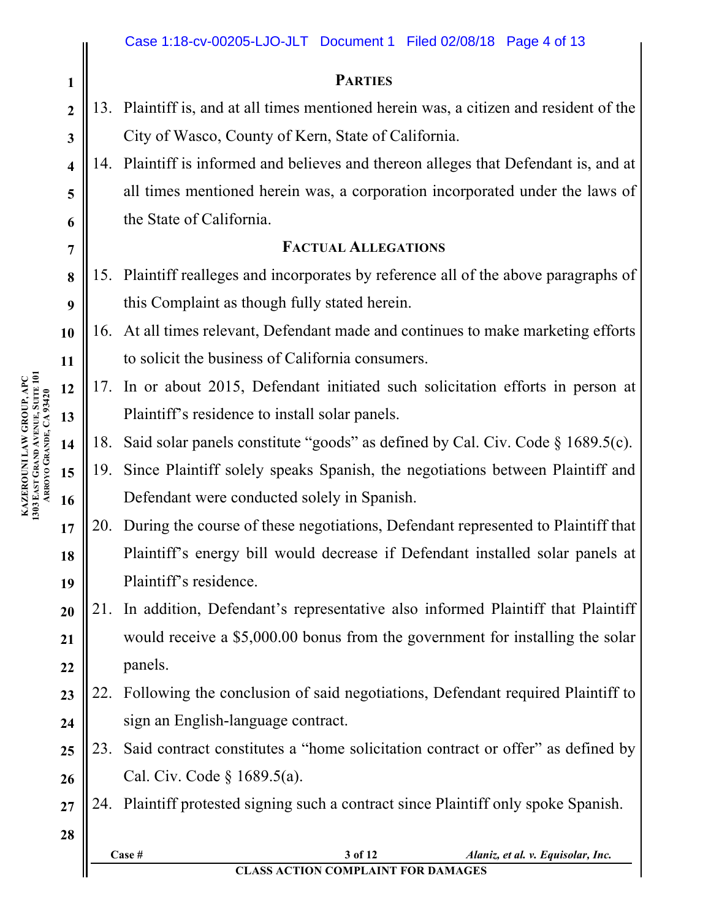|                         |     | Case 1:18-cv-00205-LJO-JLT Document 1 Filed 02/08/18 Page 4 of 13                                   |  |  |  |  |  |  |
|-------------------------|-----|-----------------------------------------------------------------------------------------------------|--|--|--|--|--|--|
| $\mathbf{1}$            |     | <b>PARTIES</b>                                                                                      |  |  |  |  |  |  |
| $\overline{2}$          |     | 13. Plaintiff is, and at all times mentioned herein was, a citizen and resident of the              |  |  |  |  |  |  |
| $\mathbf{3}$            |     | City of Wasco, County of Kern, State of California.                                                 |  |  |  |  |  |  |
| $\overline{\mathbf{4}}$ |     | 14. Plaintiff is informed and believes and thereon alleges that Defendant is, and at                |  |  |  |  |  |  |
| 5                       |     | all times mentioned herein was, a corporation incorporated under the laws of                        |  |  |  |  |  |  |
| 6                       |     | the State of California.                                                                            |  |  |  |  |  |  |
| $\overline{7}$          |     | <b>FACTUAL ALLEGATIONS</b>                                                                          |  |  |  |  |  |  |
| 8                       |     | 15. Plaintiff realleges and incorporates by reference all of the above paragraphs of                |  |  |  |  |  |  |
| 9                       |     | this Complaint as though fully stated herein.                                                       |  |  |  |  |  |  |
| 10                      | 16. | At all times relevant, Defendant made and continues to make marketing efforts                       |  |  |  |  |  |  |
| 11                      |     | to solicit the business of California consumers.                                                    |  |  |  |  |  |  |
| 12                      | 17. | In or about 2015, Defendant initiated such solicitation efforts in person at                        |  |  |  |  |  |  |
| 13                      |     | Plaintiff's residence to install solar panels.                                                      |  |  |  |  |  |  |
| 14                      | 18. | Said solar panels constitute "goods" as defined by Cal. Civ. Code $\S$ 1689.5(c).                   |  |  |  |  |  |  |
| 15                      | 19. | Since Plaintiff solely speaks Spanish, the negotiations between Plaintiff and                       |  |  |  |  |  |  |
| 16                      |     | Defendant were conducted solely in Spanish.                                                         |  |  |  |  |  |  |
| 17                      | 20. | During the course of these negotiations, Defendant represented to Plaintiff that                    |  |  |  |  |  |  |
| 18                      |     | Plaintiff's energy bill would decrease if Defendant installed solar panels at                       |  |  |  |  |  |  |
| 19                      |     | Plaintiff's residence.                                                                              |  |  |  |  |  |  |
| 20                      | 21. | In addition, Defendant's representative also informed Plaintiff that Plaintiff                      |  |  |  |  |  |  |
| 21                      |     | would receive a \$5,000.00 bonus from the government for installing the solar                       |  |  |  |  |  |  |
| 22                      |     | panels.                                                                                             |  |  |  |  |  |  |
| 23                      | 22. | Following the conclusion of said negotiations, Defendant required Plaintiff to                      |  |  |  |  |  |  |
| 24                      |     | sign an English-language contract.                                                                  |  |  |  |  |  |  |
| 25                      | 23. | Said contract constitutes a "home solicitation contract or offer" as defined by                     |  |  |  |  |  |  |
| 26                      |     | Cal. Civ. Code $\S 1689.5(a)$ .                                                                     |  |  |  |  |  |  |
| 27                      |     | 24. Plaintiff protested signing such a contract since Plaintiff only spoke Spanish.                 |  |  |  |  |  |  |
| 28                      |     |                                                                                                     |  |  |  |  |  |  |
|                         |     | 3 of 12<br>Case #<br>Alaniz, et al. v. Equisolar, Inc.<br><b>CLASS ACTION COMPLAINT FOR DAMAGES</b> |  |  |  |  |  |  |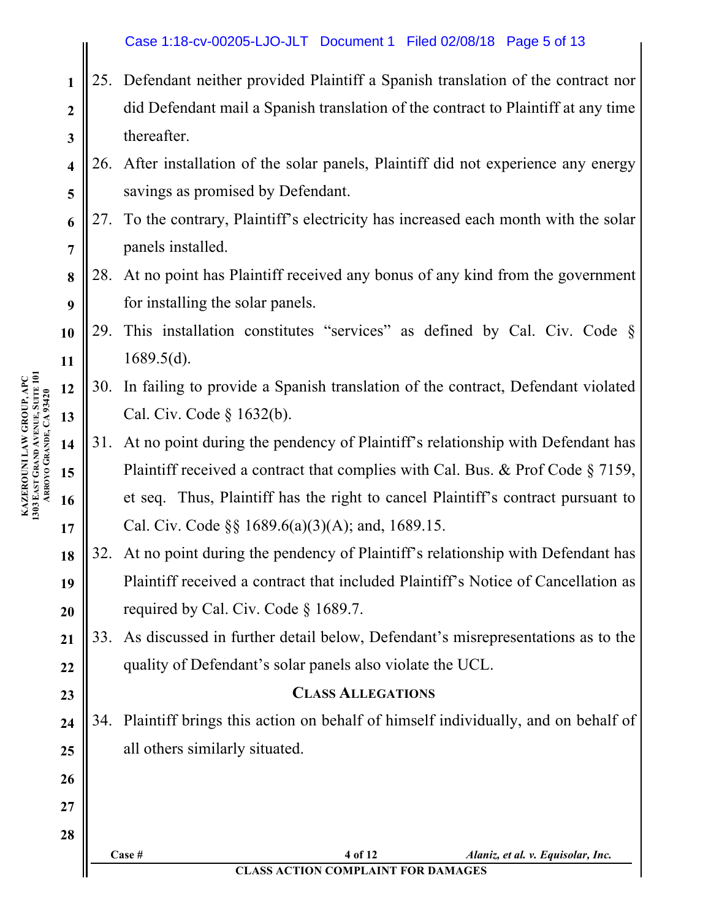# Case 1:18-cv-00205-LJO-JLT Document 1 Filed 02/08/18 Page 5 of 13

- **2 3** 25. Defendant neither provided Plaintiff a Spanish translation of the contract nor did Defendant mail a Spanish translation of the contract to Plaintiff at any time thereafter.
- **4 5** 26. After installation of the solar panels, Plaintiff did not experience any energy savings as promised by Defendant.
- **6 7** 27. To the contrary, Plaintiff's electricity has increased each month with the solar panels installed.
- **8 9** 28. At no point has Plaintiff received any bonus of any kind from the government for installing the solar panels.
- **10 11** 29. This installation constitutes "services" as defined by Cal. Civ. Code § 1689.5(d).
- **12 13** 30. In failing to provide a Spanish translation of the contract, Defendant violated Cal. Civ. Code § 1632(b).
	- 31. At no point during the pendency of Plaintiff's relationship with Defendant has Plaintiff received a contract that complies with Cal. Bus. & Prof Code § 7159, et seq. Thus, Plaintiff has the right to cancel Plaintiff's contract pursuant to Cal. Civ. Code §§ 1689.6(a)(3)(A); and, 1689.15.
- 32. At no point during the pendency of Plaintiff's relationship with Defendant has Plaintiff received a contract that included Plaintiff's Notice of Cancellation as required by Cal. Civ. Code § 1689.7.

33. As discussed in further detail below, Defendant's misrepresentations as to the quality of Defendant's solar panels also violate the UCL.

## **CLASS ALLEGATIONS**

34. Plaintiff brings this action on behalf of himself individually, and on behalf of all others similarly situated.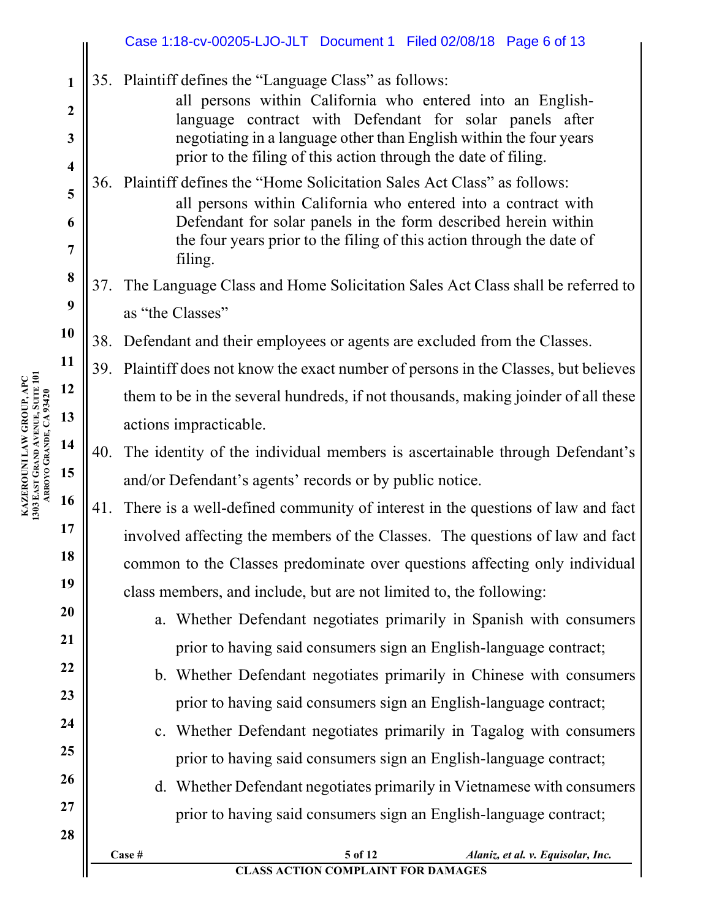|                         |     | Case 1:18-cv-00205-LJO-JLT Document 1 Filed 02/08/18 Page 6 of 13                                                                                                               |
|-------------------------|-----|---------------------------------------------------------------------------------------------------------------------------------------------------------------------------------|
| 1<br>$\boldsymbol{2}$   |     | 35. Plaintiff defines the "Language Class" as follows:<br>all persons within California who entered into an English-<br>language contract with Defendant for solar panels after |
| $\mathbf{3}$            |     | negotiating in a language other than English within the four years                                                                                                              |
| $\overline{\mathbf{4}}$ |     | prior to the filing of this action through the date of filing.                                                                                                                  |
| 5                       |     | 36. Plaintiff defines the "Home Solicitation Sales Act Class" as follows:<br>all persons within California who entered into a contract with                                     |
| 6                       |     | Defendant for solar panels in the form described herein within                                                                                                                  |
| 7                       |     | the four years prior to the filing of this action through the date of<br>filing.                                                                                                |
| 8                       | 37. | The Language Class and Home Solicitation Sales Act Class shall be referred to                                                                                                   |
| 9                       |     | as "the Classes"                                                                                                                                                                |
| 10                      | 38. | Defendant and their employees or agents are excluded from the Classes.                                                                                                          |
| 11                      |     | 39. Plaintiff does not know the exact number of persons in the Classes, but believes                                                                                            |
| 12                      |     | them to be in the several hundreds, if not thousands, making joinder of all these                                                                                               |
| 13                      |     | actions impracticable.                                                                                                                                                          |
| 14                      | 40. | The identity of the individual members is ascertainable through Defendant's                                                                                                     |
| 15                      |     | and/or Defendant's agents' records or by public notice.                                                                                                                         |
| 16                      | 41. | There is a well-defined community of interest in the questions of law and fact                                                                                                  |
| 17                      |     | involved affecting the members of the Classes. The questions of law and fact                                                                                                    |
| 18                      |     | common to the Classes predominate over questions affecting only individual                                                                                                      |
| 19                      |     | class members, and include, but are not limited to, the following:                                                                                                              |
| 20                      |     | a. Whether Defendant negotiates primarily in Spanish with consumers                                                                                                             |
| 21                      |     | prior to having said consumers sign an English-language contract;                                                                                                               |
| 22                      |     | b. Whether Defendant negotiates primarily in Chinese with consumers                                                                                                             |
| 23                      |     | prior to having said consumers sign an English-language contract;                                                                                                               |
| 24                      |     | Whether Defendant negotiates primarily in Tagalog with consumers<br>$c_{\cdot}$                                                                                                 |
| 25                      |     | prior to having said consumers sign an English-language contract;                                                                                                               |
| 26<br>27                |     | d. Whether Defendant negotiates primarily in Vietnamese with consumers                                                                                                          |
| 28                      |     | prior to having said consumers sign an English-language contract;                                                                                                               |
|                         |     | 5 of 12<br>Case #<br>Alaniz, et al. v. Equisolar, Inc.                                                                                                                          |
|                         |     | <b>CLASS ACTION COMPLAINT FOR DAMAGES</b>                                                                                                                                       |

**KAZEROUNI LAW GROUP, APC 1303 EAST GRAND AVENUE, SUITE 101 ARROYO GRANDE, CA 93420**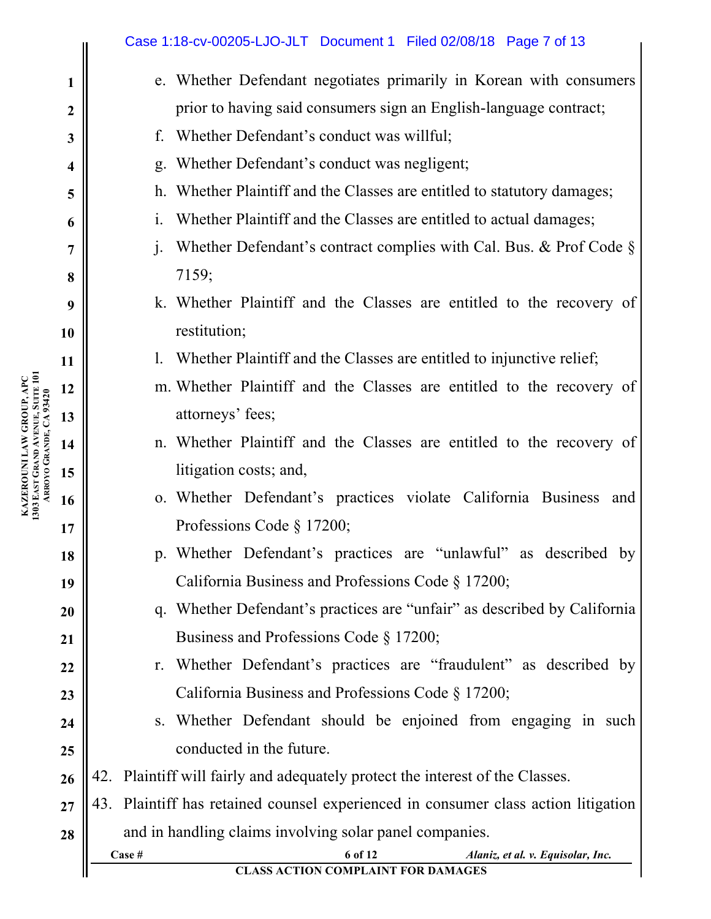|                         | Case 1:18-cv-00205-LJO-JLT Document 1 Filed 02/08/18 Page 7 of 13                                   |
|-------------------------|-----------------------------------------------------------------------------------------------------|
| $\mathbf{1}$            | e. Whether Defendant negotiates primarily in Korean with consumers                                  |
| $\boldsymbol{2}$        | prior to having said consumers sign an English-language contract;                                   |
| $\mathbf{3}$            | f. Whether Defendant's conduct was willful;                                                         |
| $\overline{\mathbf{4}}$ | g. Whether Defendant's conduct was negligent;                                                       |
| 5                       | h. Whether Plaintiff and the Classes are entitled to statutory damages;                             |
| 6                       | Whether Plaintiff and the Classes are entitled to actual damages;<br>$\mathbf{i}$ .                 |
| $\overline{7}$          | Whether Defendant's contract complies with Cal. Bus. & Prof Code $\S$<br>$j$ .                      |
| 8                       | 7159;                                                                                               |
| 9                       | k. Whether Plaintiff and the Classes are entitled to the recovery of                                |
| 10                      | restitution;                                                                                        |
| 11                      | 1. Whether Plaintiff and the Classes are entitled to injunctive relief;                             |
| 12                      | m. Whether Plaintiff and the Classes are entitled to the recovery of                                |
| 13                      | attorneys' fees;                                                                                    |
| 14                      | n. Whether Plaintiff and the Classes are entitled to the recovery of                                |
| 15                      | litigation costs; and,                                                                              |
| 16                      | o. Whether Defendant's practices violate California Business and                                    |
| 17                      | Professions Code § 17200;                                                                           |
| 18                      | p. Whether Defendant's practices are "unlawful" as described by                                     |
| 19                      | California Business and Professions Code § 17200;                                                   |
| 20                      | q. Whether Defendant's practices are "unfair" as described by California                            |
| <b>21</b>               | Business and Professions Code § 17200;                                                              |
| 22                      | Whether Defendant's practices are "fraudulent" as described by<br>$r_{\cdot}$                       |
| 23                      | California Business and Professions Code § 17200;                                                   |
| 24                      | s. Whether Defendant should be enjoined from engaging in such                                       |
| 25                      | conducted in the future.                                                                            |
| 26                      | 42. Plaintiff will fairly and adequately protect the interest of the Classes.                       |
| 27                      | Plaintiff has retained counsel experienced in consumer class action litigation<br>43.               |
| 28                      | and in handling claims involving solar panel companies.                                             |
|                         | 6 of 12<br>Case #<br>Alaniz, et al. v. Equisolar, Inc.<br><b>CLASS ACTION COMPLAINT FOR DAMAGES</b> |

**KAZEROUNI LAW GROUP, APC**

**1303 EAST** 

**GRAND** 

**ARROYO** 

**GRANDE, CA 93420**

**AVENUE, SUITE 101**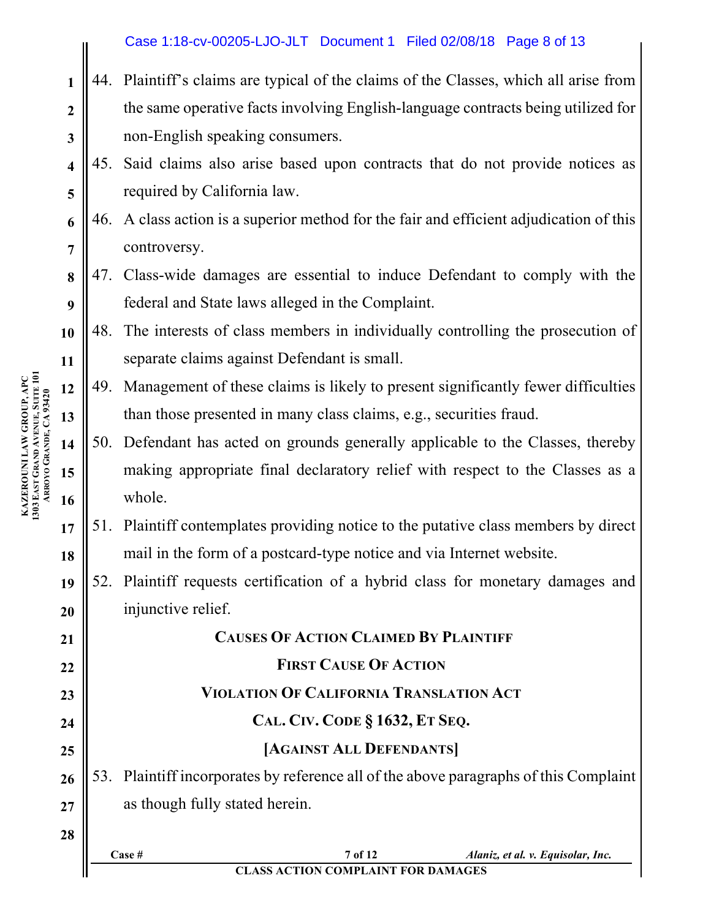| Case 1:18-cv-00205-LJO-JLT Document 1 Filed 02/08/18 Page 8 of 13 |  |  |  |  |
|-------------------------------------------------------------------|--|--|--|--|
|-------------------------------------------------------------------|--|--|--|--|

- **2 3** 44. Plaintiff's claims are typical of the claims of the Classes, which all arise from the same operative facts involving English-language contracts being utilized for non-English speaking consumers.
- **4 5** 45. Said claims also arise based upon contracts that do not provide notices as required by California law.
- **6 7** 46. A class action is a superior method for the fair and efficient adjudication of this controversy.
- **8 9** 47. Class-wide damages are essential to induce Defendant to comply with the federal and State laws alleged in the Complaint.
- **10 11** 48. The interests of class members in individually controlling the prosecution of separate claims against Defendant is small.
- **12 13** 49. Management of these claims is likely to present significantly fewer difficulties than those presented in many class claims, e.g., securities fraud.
- **14 15 16** 50. Defendant has acted on grounds generally applicable to the Classes, thereby making appropriate final declaratory relief with respect to the Classes as a whole.
- **17 18** 51. Plaintiff contemplates providing notice to the putative class members by direct mail in the form of a postcard-type notice and via Internet website.
- **19 20** 52. Plaintiff requests certification of a hybrid class for monetary damages and injunctive relief.

| 21 |                                                                                       | <b>CAUSES OF ACTION CLAIMED BY PLAINTIFF</b> |                                   |  |  |  |  |
|----|---------------------------------------------------------------------------------------|----------------------------------------------|-----------------------------------|--|--|--|--|
| 22 | <b>FIRST CAUSE OF ACTION</b>                                                          |                                              |                                   |  |  |  |  |
| 23 | <b>VIOLATION OF CALIFORNIA TRANSLATION ACT</b>                                        |                                              |                                   |  |  |  |  |
| 24 | CAL. CIV. CODE § 1632, ET SEQ.                                                        |                                              |                                   |  |  |  |  |
| 25 | [AGAINST ALL DEFENDANTS]                                                              |                                              |                                   |  |  |  |  |
| 26 | 53. Plaintiff incorporates by reference all of the above paragraphs of this Complaint |                                              |                                   |  |  |  |  |
| 27 | as though fully stated herein.                                                        |                                              |                                   |  |  |  |  |
| 28 |                                                                                       |                                              |                                   |  |  |  |  |
|    | $\bf Case \ \#$                                                                       | 7 of 12                                      | Alaniz, et al. v. Equisolar, Inc. |  |  |  |  |
|    | <b>CLASS ACTION COMPLAINT FOR DAMAGES</b>                                             |                                              |                                   |  |  |  |  |

**KAZEROUNI LAW GROUP, APC 1303 EAST GRAND AVENUE, SUITE 101 ARROYO GRANDE, CA 93420**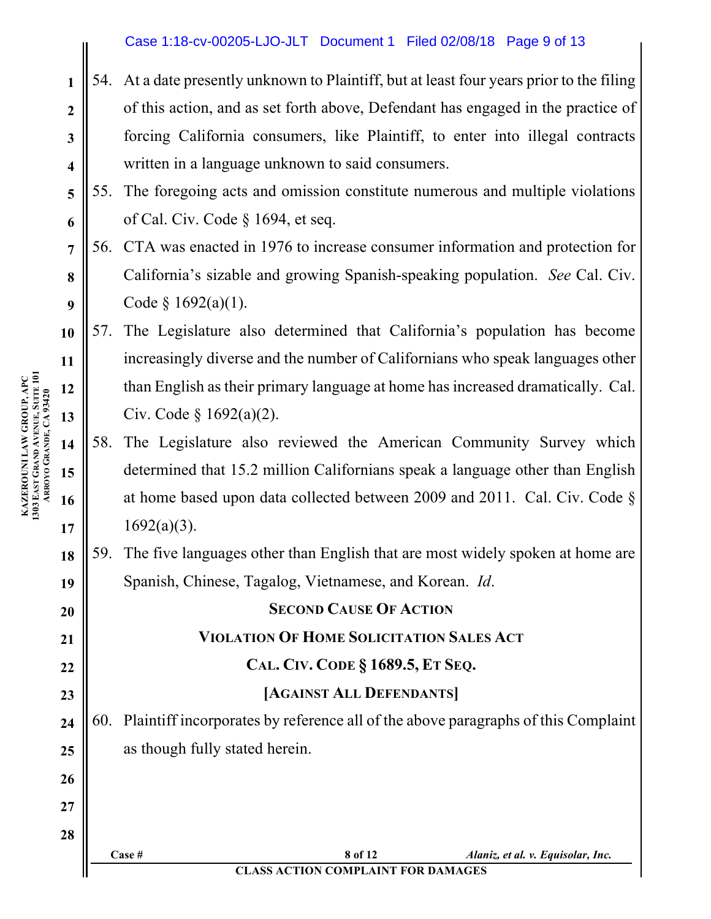## Case 1:18-cv-00205-LJO-JLT Document 1 Filed 02/08/18 Page 9 of 13

- 54. At a date presently unknown to Plaintiff, but at least four years prior to the filing of this action, and as set forth above, Defendant has engaged in the practice of forcing California consumers, like Plaintiff, to enter into illegal contracts written in a language unknown to said consumers.
- **5 6** 55. The foregoing acts and omission constitute numerous and multiple violations of Cal. Civ. Code § 1694, et seq.
- **7 8 9** 56. CTA was enacted in 1976 to increase consumer information and protection for California's sizable and growing Spanish-speaking population. *See* Cal. Civ. Code  $§$  1692(a)(1).

**13** 57. The Legislature also determined that California's population has become increasingly diverse and the number of Californians who speak languages other than English as their primary language at home has increased dramatically. Cal. Civ. Code § 1692(a)(2).

- 58. The Legislature also reviewed the American Community Survey which determined that 15.2 million Californians speak a language other than English at home based upon data collected between 2009 and 2011. Cal. Civ. Code §  $1692(a)(3)$ .
- **18 19** 59. The five languages other than English that are most widely spoken at home are Spanish, Chinese, Tagalog, Vietnamese, and Korean. *Id*.

**20 21 22 23 24 25 26 27 28 SECOND CAUSE OF ACTION VIOLATION OF HOME SOLICITATION SALES ACT CAL. CIV. CODE § 1689.5, ET SEQ. [AGAINST ALL DEFENDANTS]** 60. Plaintiff incorporates by reference all of the above paragraphs of this Complaint as though fully stated herein.

**1**

**2**

**3**

**4**

**10**

**11**

**12**

**14**

**15**

**16**

**17**

**Case # 8 of 12** *Alaniz, et al. v. Equisolar, Inc.* **CLASS ACTION COMPLAINT FOR DAMAGES**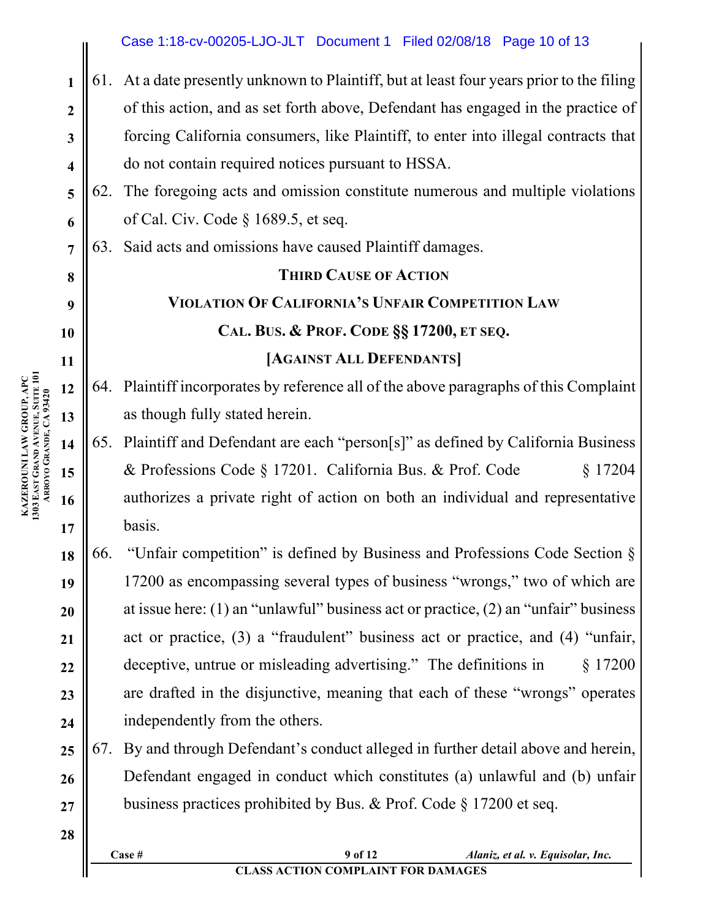### **1 2 3 4 5 6 7 8 9 10 11 12 13 14 15 16 17 18 19 20 21** 61. At a date presently unknown to Plaintiff, but at least four years prior to the filing of this action, and as set forth above, Defendant has engaged in the practice of forcing California consumers, like Plaintiff, to enter into illegal contracts that do not contain required notices pursuant to HSSA. 62. The foregoing acts and omission constitute numerous and multiple violations of Cal. Civ. Code § 1689.5, et seq. 63. Said acts and omissions have caused Plaintiff damages. **THIRD CAUSE OF ACTION VIOLATION OF CALIFORNIA'S UNFAIR COMPETITION LAW CAL. BUS. & PROF. CODE §§ 17200, ET SEQ. [AGAINST ALL DEFENDANTS]** 64. Plaintiff incorporates by reference all of the above paragraphs of this Complaint as though fully stated herein. 65. Plaintiff and Defendant are each "person[s]" as defined by California Business & Professions Code § 17201. California Bus. & Prof. Code § 17204 authorizes a private right of action on both an individual and representative basis. 66. "Unfair competition" is defined by Business and Professions Code Section § 17200 as encompassing several types of business "wrongs," two of which are at issue here: (1) an "unlawful" business act or practice, (2) an "unfair" business Case 1:18-cv-00205-LJO-JLT Document 1 Filed 02/08/18 Page 10 of 13

act or practice, (3) a "fraudulent" business act or practice, and (4) "unfair, deceptive, untrue or misleading advertising." The definitions in § 17200 are drafted in the disjunctive, meaning that each of these "wrongs" operates independently from the others.

**25 26 27** 67. By and through Defendant's conduct alleged in further detail above and herein, Defendant engaged in conduct which constitutes (a) unlawful and (b) unfair business practices prohibited by Bus. & Prof. Code § 17200 et seq.

**KAZEROUNI LAW GROUP, APC 1303 EAST GRAND AVENUE, SUITE 101 ARROYO GRANDE, CA 93420**

**22**

**23**

**24**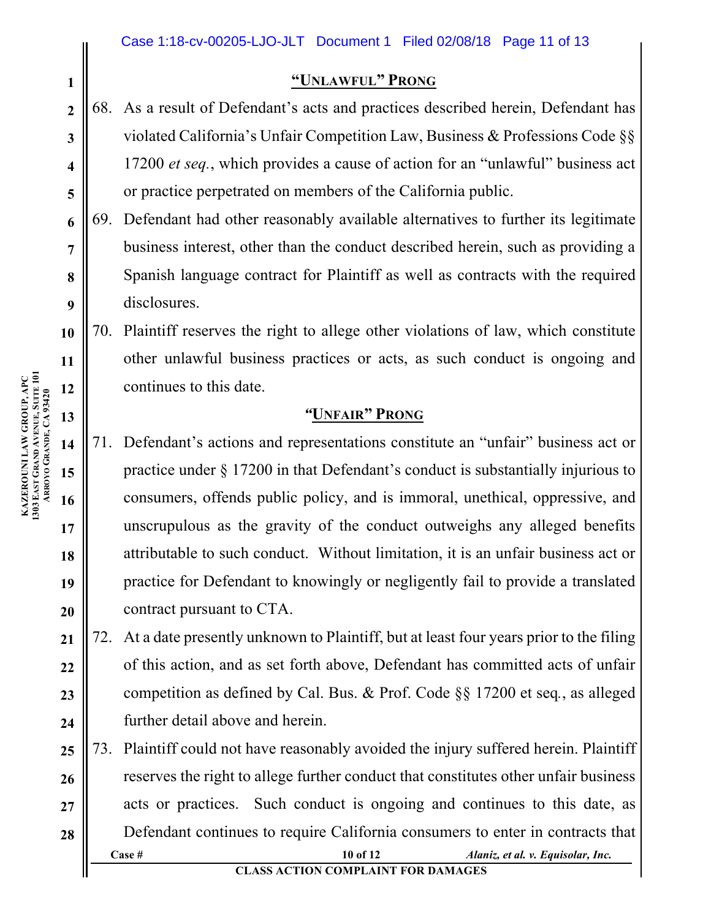## **"UNLAWFUL" PRONG**

- 68. As a result of Defendant's acts and practices described herein, Defendant has violated California's Unfair Competition Law, Business & Professions Code §§ 17200 *et seq.*, which provides a cause of action for an "unlawful" business act or practice perpetrated on members of the California public.
- 69. Defendant had other reasonably available alternatives to further its legitimate business interest, other than the conduct described herein, such as providing a Spanish language contract for Plaintiff as well as contracts with the required disclosures.

**10** 70. Plaintiff reserves the right to allege other violations of law, which constitute other unlawful business practices or acts, as such conduct is ongoing and continues to this date.

## *"***UNFAIR" PRONG**

71. Defendant's actions and representations constitute an "unfair" business act or practice under § 17200 in that Defendant's conduct is substantially injurious to consumers, offends public policy, and is immoral, unethical, oppressive, and unscrupulous as the gravity of the conduct outweighs any alleged benefits attributable to such conduct. Without limitation, it is an unfair business act or practice for Defendant to knowingly or negligently fail to provide a translated contract pursuant to CTA.

**21 22 23 24** 72. At a date presently unknown to Plaintiff, but at least four years prior to the filing of this action, and as set forth above, Defendant has committed acts of unfair competition as defined by Cal. Bus. & Prof. Code §§ 17200 et seq*.*, as alleged further detail above and herein.

**Case # 10 of 12** *Alaniz, et al. v. Equisolar, Inc.* **25 26 27 28** 73. Plaintiff could not have reasonably avoided the injury suffered herein. Plaintiff reserves the right to allege further conduct that constitutes other unfair business acts or practices. Such conduct is ongoing and continues to this date, as Defendant continues to require California consumers to enter in contracts that

**11 12 13 14 15 16 17 KAZEROUNI LAW GROUP, APC 1303 EAST GRAND AVENUE, SUITE 101 ARROYO GRANDE, CA 93420**

**18**

**19**

**20**

**1**

**2**

**3**

**4**

**5**

**6**

**7**

**8**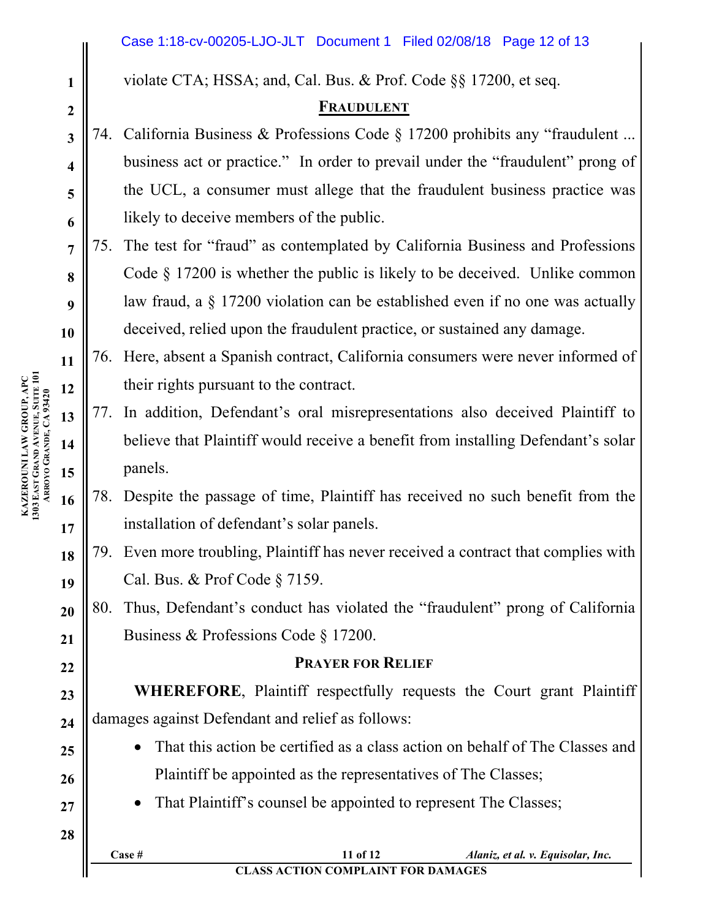violate CTA; HSSA; and, Cal. Bus. & Prof. Code §§ 17200, et seq.

# **FRAUDULENT**

- 74. California Business & Professions Code § 17200 prohibits any "fraudulent ... business act or practice." In order to prevail under the "fraudulent" prong of the UCL, a consumer must allege that the fraudulent business practice was likely to deceive members of the public.
- **7 8 9 10** 75. The test for "fraud" as contemplated by California Business and Professions Code § 17200 is whether the public is likely to be deceived. Unlike common law fraud, a § 17200 violation can be established even if no one was actually deceived, relied upon the fraudulent practice, or sustained any damage.
	- 76. Here, absent a Spanish contract, California consumers were never informed of their rights pursuant to the contract.
	- 77. In addition, Defendant's oral misrepresentations also deceived Plaintiff to believe that Plaintiff would receive a benefit from installing Defendant's solar panels.
- **16 17** 78. Despite the passage of time, Plaintiff has received no such benefit from the installation of defendant's solar panels.
- **18 19** 79. Even more troubling, Plaintiff has never received a contract that complies with Cal. Bus. & Prof Code § 7159.
- **20 21** 80. Thus, Defendant's conduct has violated the "fraudulent" prong of California Business & Professions Code § 17200.

# **PRAYER FOR RELIEF**

**23 24 WHEREFORE**, Plaintiff respectfully requests the Court grant Plaintiff damages against Defendant and relief as follows:

- That this action be certified as a class action on behalf of The Classes and Plaintiff be appointed as the representatives of The Classes;
- That Plaintiff's counsel be appointed to represent The Classes;

**KAZEROUNI LAW GROUP, APC 1303 EAST GRAND AVENUE, SUITE 101 ARROYO GRANDE, CA 93420** **1**

**2**

**3**

**4**

**5**

**6**

**11**

**12**

**13**

**14**

**15**

**22**

**25**

**26**

**27**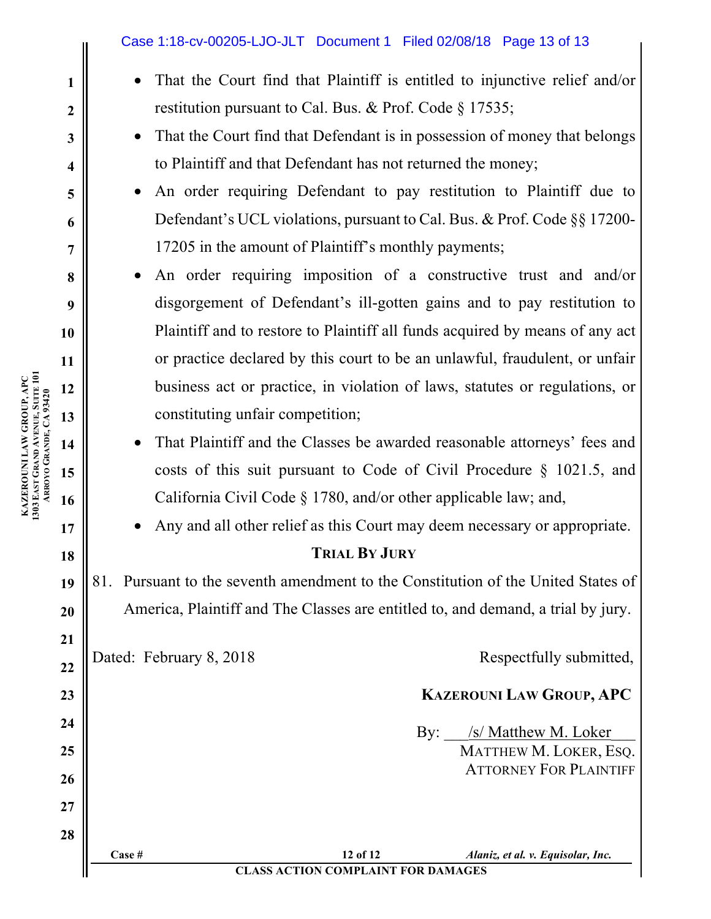- That the Court find that Plaintiff is entitled to injunctive relief and/or restitution pursuant to Cal. Bus. & Prof. Code § 17535;
- That the Court find that Defendant is in possession of money that belongs to Plaintiff and that Defendant has not returned the money;
- An order requiring Defendant to pay restitution to Plaintiff due to Defendant's UCL violations, pursuant to Cal. Bus. & Prof. Code §§ 17200- 17205 in the amount of Plaintiff's monthly payments;
- An order requiring imposition of a constructive trust and and/or disgorgement of Defendant's ill-gotten gains and to pay restitution to Plaintiff and to restore to Plaintiff all funds acquired by means of any act or practice declared by this court to be an unlawful, fraudulent, or unfair business act or practice, in violation of laws, statutes or regulations, or constituting unfair competition;
- That Plaintiff and the Classes be awarded reasonable attorneys' fees and costs of this suit pursuant to Code of Civil Procedure § 1021.5, and California Civil Code § 1780, and/or other applicable law; and,

• Any and all other relief as this Court may deem necessary or appropriate.

# **TRIAL BY JURY**

**19 20** 81. Pursuant to the seventh amendment to the Constitution of the United States of America, Plaintiff and The Classes are entitled to, and demand, a trial by jury.

Dated: February 8, 2018 Respectfully submitted,

# **KAZEROUNI LAW GROUP, APC**

By: /s/ Matthew M. Loker MATTHEW M. LOKER, ESQ. ATTORNEY FOR PLAINTIFF

**Case # 12 of 12** *Alaniz, et al. v. Equisolar, Inc.* **CLASS ACTION COMPLAINT FOR DAMAGES**

**1**

**2**

**3**

**4**

**5**

**6**

**7**

**8**

**9**

**10**

**17**

**18**

**21**

**22**

**23**

**24**

**25**

**26**

**27**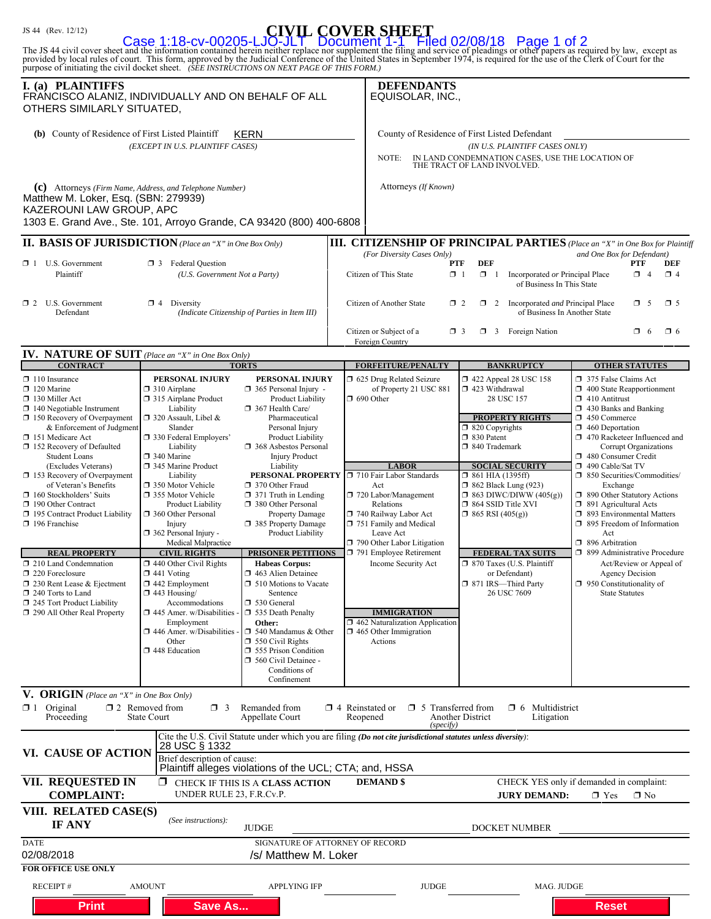| Case 1:18-cv-00205-LJO-JLT Document 1-1 Filed 02/08/18 Page 1 of 2<br>provided by local rules of court. This form, approved by the Judicial Conference of the United States in September 1974, is required for the use of the Cle<br>purpose of initiating the civil docket sheet. (SEE INSTRUCTIONS ON NEXT PAGE OF THIS FORM.)                                                                                                                                                                                                                                                                                                       |                                                                                                                                                                                                                                                                                                                                                                                                                                                                                                                                                                                                                                                                |                                                                                                                                                                                                                                                                                                                                                                                                                                                                                                                                                                                                                                                                                                                       |                                                                                                                                                                                                                                                                                                                                                                                                                                   |                                                                                                                                                                   |                                                                                                                                                                                                                                                                                                                                                                                                                                                                                                                                                                                                                                                                                                                                                                                                                                                                                                                                                                                                                                                                                  |                                                                                  |                            |                       |                         |  |
|----------------------------------------------------------------------------------------------------------------------------------------------------------------------------------------------------------------------------------------------------------------------------------------------------------------------------------------------------------------------------------------------------------------------------------------------------------------------------------------------------------------------------------------------------------------------------------------------------------------------------------------|----------------------------------------------------------------------------------------------------------------------------------------------------------------------------------------------------------------------------------------------------------------------------------------------------------------------------------------------------------------------------------------------------------------------------------------------------------------------------------------------------------------------------------------------------------------------------------------------------------------------------------------------------------------|-----------------------------------------------------------------------------------------------------------------------------------------------------------------------------------------------------------------------------------------------------------------------------------------------------------------------------------------------------------------------------------------------------------------------------------------------------------------------------------------------------------------------------------------------------------------------------------------------------------------------------------------------------------------------------------------------------------------------|-----------------------------------------------------------------------------------------------------------------------------------------------------------------------------------------------------------------------------------------------------------------------------------------------------------------------------------------------------------------------------------------------------------------------------------|-------------------------------------------------------------------------------------------------------------------------------------------------------------------|----------------------------------------------------------------------------------------------------------------------------------------------------------------------------------------------------------------------------------------------------------------------------------------------------------------------------------------------------------------------------------------------------------------------------------------------------------------------------------------------------------------------------------------------------------------------------------------------------------------------------------------------------------------------------------------------------------------------------------------------------------------------------------------------------------------------------------------------------------------------------------------------------------------------------------------------------------------------------------------------------------------------------------------------------------------------------------|----------------------------------------------------------------------------------|----------------------------|-----------------------|-------------------------|--|
| I. (a) PLAINTIFFS<br>FRANCISCO ALANIZ, INDIVIDUALLY AND ON BEHALF OF ALL<br>OTHERS SIMILARLY SITUATED,                                                                                                                                                                                                                                                                                                                                                                                                                                                                                                                                 |                                                                                                                                                                                                                                                                                                                                                                                                                                                                                                                                                                                                                                                                |                                                                                                                                                                                                                                                                                                                                                                                                                                                                                                                                                                                                                                                                                                                       | <b>DEFENDANTS</b><br>EQUISOLAR, INC.,                                                                                                                                                                                                                                                                                                                                                                                             |                                                                                                                                                                   |                                                                                                                                                                                                                                                                                                                                                                                                                                                                                                                                                                                                                                                                                                                                                                                                                                                                                                                                                                                                                                                                                  |                                                                                  |                            |                       |                         |  |
| (b) County of Residence of First Listed Plaintiff                                                                                                                                                                                                                                                                                                                                                                                                                                                                                                                                                                                      | (EXCEPT IN U.S. PLAINTIFF CASES)                                                                                                                                                                                                                                                                                                                                                                                                                                                                                                                                                                                                                               | <b>KERN</b>                                                                                                                                                                                                                                                                                                                                                                                                                                                                                                                                                                                                                                                                                                           | NOTE:                                                                                                                                                                                                                                                                                                                                                                                                                             | County of Residence of First Listed Defendant<br>(IN U.S. PLAINTIFF CASES ONLY)<br>IN LAND CONDEMNATION CASES, USE THE LOCATION OF<br>THE TRACT OF LAND INVOLVED. |                                                                                                                                                                                                                                                                                                                                                                                                                                                                                                                                                                                                                                                                                                                                                                                                                                                                                                                                                                                                                                                                                  |                                                                                  |                            |                       |                         |  |
| (c) Attorneys (Firm Name, Address, and Telephone Number)<br>Matthew M. Loker, Esq. (SBN: 279939)<br>KAZEROUNI LAW GROUP, APC<br>1303 E. Grand Ave., Ste. 101, Arroyo Grande, CA 93420 (800) 400-6808                                                                                                                                                                                                                                                                                                                                                                                                                                   |                                                                                                                                                                                                                                                                                                                                                                                                                                                                                                                                                                                                                                                                |                                                                                                                                                                                                                                                                                                                                                                                                                                                                                                                                                                                                                                                                                                                       | Attorneys (If Known)                                                                                                                                                                                                                                                                                                                                                                                                              |                                                                                                                                                                   |                                                                                                                                                                                                                                                                                                                                                                                                                                                                                                                                                                                                                                                                                                                                                                                                                                                                                                                                                                                                                                                                                  |                                                                                  |                            |                       |                         |  |
| <b>II. BASIS OF JURISDICTION</b> (Place an "X" in One Box Only)                                                                                                                                                                                                                                                                                                                                                                                                                                                                                                                                                                        |                                                                                                                                                                                                                                                                                                                                                                                                                                                                                                                                                                                                                                                                |                                                                                                                                                                                                                                                                                                                                                                                                                                                                                                                                                                                                                                                                                                                       | <b>III. CITIZENSHIP OF PRINCIPAL PARTIES</b> (Place an "X" in One Box for Plaintiff                                                                                                                                                                                                                                                                                                                                               |                                                                                                                                                                   |                                                                                                                                                                                                                                                                                                                                                                                                                                                                                                                                                                                                                                                                                                                                                                                                                                                                                                                                                                                                                                                                                  |                                                                                  |                            |                       |                         |  |
| $\Box$ 1 U.S. Government<br>Plaintiff                                                                                                                                                                                                                                                                                                                                                                                                                                                                                                                                                                                                  | $\boxtimes$ 3 Federal Question<br>(U.S. Government Not a Party)                                                                                                                                                                                                                                                                                                                                                                                                                                                                                                                                                                                                |                                                                                                                                                                                                                                                                                                                                                                                                                                                                                                                                                                                                                                                                                                                       | (For Diversity Cases Only)<br>Citizen of This State                                                                                                                                                                                                                                                                                                                                                                               | PTF<br>$\Box$ 1                                                                                                                                                   | <b>DEF</b><br>$\Box$ 1                                                                                                                                                                                                                                                                                                                                                                                                                                                                                                                                                                                                                                                                                                                                                                                                                                                                                                                                                                                                                                                           | Incorporated or Principal Place<br>of Business In This State                     | and One Box for Defendant) | PTF<br>$\Box$ 4       | DEF<br>$\Box$ 4         |  |
| $\Box$ 2 U.S. Government<br>Defendant                                                                                                                                                                                                                                                                                                                                                                                                                                                                                                                                                                                                  | $\Box$ 4 Diversity                                                                                                                                                                                                                                                                                                                                                                                                                                                                                                                                                                                                                                             | (Indicate Citizenship of Parties in Item III)                                                                                                                                                                                                                                                                                                                                                                                                                                                                                                                                                                                                                                                                         | Citizen of Another State                                                                                                                                                                                                                                                                                                                                                                                                          | $\Box$ 2                                                                                                                                                          |                                                                                                                                                                                                                                                                                                                                                                                                                                                                                                                                                                                                                                                                                                                                                                                                                                                                                                                                                                                                                                                                                  | $\Box$ 2 Incorporated <i>and</i> Principal Place<br>of Business In Another State |                            | $\Box$ 5              | $\Box$ 5                |  |
|                                                                                                                                                                                                                                                                                                                                                                                                                                                                                                                                                                                                                                        |                                                                                                                                                                                                                                                                                                                                                                                                                                                                                                                                                                                                                                                                |                                                                                                                                                                                                                                                                                                                                                                                                                                                                                                                                                                                                                                                                                                                       | Citizen or Subject of a<br>Foreign Country                                                                                                                                                                                                                                                                                                                                                                                        | $\Box$ 3                                                                                                                                                          |                                                                                                                                                                                                                                                                                                                                                                                                                                                                                                                                                                                                                                                                                                                                                                                                                                                                                                                                                                                                                                                                                  | 7 3 Foreign Nation                                                               |                            | $\Box$ 6              | $\Box$ 6                |  |
| <b>IV. NATURE OF SUIT</b> (Place an "X" in One Box Only)<br><b>CONTRACT</b>                                                                                                                                                                                                                                                                                                                                                                                                                                                                                                                                                            |                                                                                                                                                                                                                                                                                                                                                                                                                                                                                                                                                                                                                                                                | <b>TORTS</b>                                                                                                                                                                                                                                                                                                                                                                                                                                                                                                                                                                                                                                                                                                          | <b>FORFEITURE/PENALTY</b>                                                                                                                                                                                                                                                                                                                                                                                                         |                                                                                                                                                                   |                                                                                                                                                                                                                                                                                                                                                                                                                                                                                                                                                                                                                                                                                                                                                                                                                                                                                                                                                                                                                                                                                  | <b>BANKRUPTCY</b>                                                                |                            | <b>OTHER STATUTES</b> |                         |  |
| $\Box$ 110 Insurance<br>$\Box$ 120 Marine<br>$\Box$ 130 Miller Act<br>$\Box$ 140 Negotiable Instrument<br>$\Box$ 150 Recovery of Overpayment<br>& Enforcement of Judgment<br>□ 151 Medicare Act<br>□ 152 Recovery of Defaulted<br><b>Student Loans</b><br>(Excludes Veterans)<br>$\Box$ 153 Recovery of Overpayment<br>of Veteran's Benefits<br>160 Stockholders' Suits<br>190 Other Contract<br>□ 195 Contract Product Liability<br>196 Franchise<br><b>REAL PROPERTY</b><br>210 Land Condemnation<br>220 Foreclosure<br>230 Rent Lease & Ejectment<br>240 Torts to Land<br>245 Tort Product Liability<br>290 All Other Real Property | PERSONAL INJURY<br>$\Box$ 310 Airplane<br>□ 315 Airplane Product<br>Liability<br>$\Box$ 320 Assault, Libel &<br>Slander<br>□ 330 Federal Employers'<br>Liability<br>$\Box$ 340 Marine<br>345 Marine Product<br>Liability<br>□ 350 Motor Vehicle<br>355 Motor Vehicle<br><b>Product Liability</b><br><b>360 Other Personal</b><br>Injury<br>$\Box$ 362 Personal Injury -<br>Medical Malpractice<br><b>CIVIL RIGHTS</b><br>$\Box$ 440 Other Civil Rights<br>$\Box$ 441 Voting<br>$\Box$ 442 Employment<br>$\Box$ 443 Housing/<br>Accommodations<br>$\square$ 445 Amer. w/Disabilities<br>Employment<br>$\Box$ 446 Amer. w/Disabilities<br>Other<br>448 Education | PERSONAL INJURY<br>$\Box$ 365 Personal Injury -<br><b>Product Liability</b><br>367 Health Care/<br>Pharmaceutical<br>Personal Injury<br><b>Product Liability</b><br>368 Asbestos Personal<br><b>Injury Product</b><br>Liability<br>PERSONAL PROPERTY<br>370 Other Fraud<br>$\Box$ 371 Truth in Lending<br>380 Other Personal<br><b>Property Damage</b><br>□ 385 Property Damage<br>Product Liability<br>PRISONER PETITIONS<br><b>Habeas Corpus:</b><br>1463 Alien Detainee<br>$\Box$ 510 Motions to Vacate<br>Sentence<br>$\Box$ 530 General<br>535 Death Penalty<br>Other:<br>$\Box$ 540 Mandamus & Other<br>$\Box$ 550 Civil Rights<br>555 Prison Condition<br>560 Civil Detainee -<br>Conditions of<br>Confinement | □ 625 Drug Related Seizure<br>of Property 21 USC 881<br>$\Box$ 690 Other<br><b>LABOR</b><br>710 Fair Labor Standards<br>Act<br>720 Labor/Management<br>Relations<br>740 Railway Labor Act<br>751 Family and Medical<br>Leave Act<br>790 Other Labor Litigation<br>$\Box$ 791 Employee Retirement<br>Income Security Act<br><b>IMMIGRATION</b><br>$\Box$ 462 Naturalization Application<br>$\Box$ 465 Other Immigration<br>Actions |                                                                                                                                                                   | $\Box$ 422 Appeal 28 USC 158<br>375 False Claims Act<br>423 Withdrawal<br>$\Box$ 400 State Reapportionment<br>28 USC 157<br>$\Box$ 410 Antitrust<br>$\Box$ 430 Banks and Banking<br><b>PROPERTY RIGHTS</b><br>$\Box$ 450 Commerce<br>$\Box$ 820 Copyrights<br>$\Box$ 460 Deportation<br>□ 830 Patent<br>$\Box$ 470 Racketeer Influenced and<br>□ 840 Trademark<br>Corrupt Organizations<br>480 Consumer Credit<br><b>SOCIAL SECURITY</b><br>490 Cable/Sat TV<br>$\Box$ 861 HIA (1395ff)<br>□ 850 Securities/Commodities/<br><b>1</b> 862 Black Lung (923)<br>Exchange<br>× 890 Other Statutory Actions<br>$\Box$ 863 DIWC/DIWW (405(g))<br>$\Box$ 864 SSID Title XVI<br>$\Box$ 891 Agricultural Acts<br>□ 893 Environmental Matters<br>$\Box$ 865 RSI (405(g))<br>$\Box$ 895 Freedom of Information<br>Act<br>$\Box$ 896 Arbitration<br><b>FEDERAL TAX SUITS</b><br>□ 899 Administrative Procedure<br>□ 870 Taxes (U.S. Plaintiff<br><b>Agency Decision</b><br>or Defendant)<br>$\Box$ 950 Constitutionality of<br>□ 871 IRS—Third Party<br>26 USC 7609<br><b>State Statutes</b> |                                                                                  |                            |                       | Act/Review or Appeal of |  |
| <b>V. ORIGIN</b> (Place an "X" in One Box Only)<br>Original<br>XII<br>$\Box$ 2 Removed from<br>$\Box$ 3<br>Remanded from<br>$\Box$ 4 Reinstated or<br>$\Box$ 5 Transferred from<br>$\Box$ 6 Multidistrict<br>Proceeding<br><b>State Court</b><br>Appellate Court<br>Reopened<br>Another District<br>Litigation<br>(specify)<br>Cite the U.S. Civil Statute under which you are filing (Do not cite jurisdictional statutes unless diversity):<br>28 USC § 1332<br>VI. CAUSE OF ACTION<br>Brief description of cause:<br>Plaintiff alleges violations of the UCL; CTA; and, HSSA                                                        |                                                                                                                                                                                                                                                                                                                                                                                                                                                                                                                                                                                                                                                                |                                                                                                                                                                                                                                                                                                                                                                                                                                                                                                                                                                                                                                                                                                                       |                                                                                                                                                                                                                                                                                                                                                                                                                                   |                                                                                                                                                                   |                                                                                                                                                                                                                                                                                                                                                                                                                                                                                                                                                                                                                                                                                                                                                                                                                                                                                                                                                                                                                                                                                  |                                                                                  |                            |                       |                         |  |
| VII. REQUESTED IN<br><b>COMPLAINT:</b><br>VIII. RELATED CASE(S)                                                                                                                                                                                                                                                                                                                                                                                                                                                                                                                                                                        | ⊠<br>UNDER RULE 23, F.R.Cv.P.                                                                                                                                                                                                                                                                                                                                                                                                                                                                                                                                                                                                                                  | CHECK IF THIS IS A CLASS ACTION                                                                                                                                                                                                                                                                                                                                                                                                                                                                                                                                                                                                                                                                                       | <b>DEMAND</b> \$                                                                                                                                                                                                                                                                                                                                                                                                                  |                                                                                                                                                                   |                                                                                                                                                                                                                                                                                                                                                                                                                                                                                                                                                                                                                                                                                                                                                                                                                                                                                                                                                                                                                                                                                  | CHECK YES only if demanded in complaint:<br><b>JURY DEMAND:</b>                  | $\times$ Yes               | $\Box$ No             |                         |  |
|                                                                                                                                                                                                                                                                                                                                                                                                                                                                                                                                                                                                                                        |                                                                                                                                                                                                                                                                                                                                                                                                                                                                                                                                                                                                                                                                |                                                                                                                                                                                                                                                                                                                                                                                                                                                                                                                                                                                                                                                                                                                       |                                                                                                                                                                                                                                                                                                                                                                                                                                   |                                                                                                                                                                   |                                                                                                                                                                                                                                                                                                                                                                                                                                                                                                                                                                                                                                                                                                                                                                                                                                                                                                                                                                                                                                                                                  |                                                                                  |                            |                       |                         |  |

JS 44 (Rev. 12/12) **CIVIL COVER SHEET**

| VIII. RELATED CASE(S)<br><b>IF ANY</b> | (See instructions):<br><b>JUDGE</b> |                                 | <b>DOCKET NUMBER</b> |  |
|----------------------------------------|-------------------------------------|---------------------------------|----------------------|--|
| <b>DATE</b>                            |                                     | SIGNATURE OF ATTORNEY OF RECORD |                      |  |
| 02/08/2018                             | /s/ Matthew M. Loker                |                                 |                      |  |
| <b>FOR OFFICE USE ONLY</b>             |                                     |                                 |                      |  |
| <b>RECEIPT#</b><br>AMOUNT              | <b>APPLYING IFP</b>                 | <b>JUDGE</b>                    | MAG. JUDGE           |  |

**Print Save As... Save As... Reset**